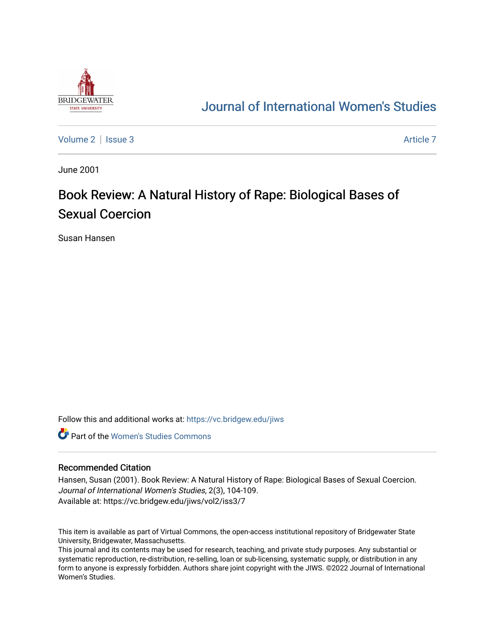

# [Journal of International Women's Studies](https://vc.bridgew.edu/jiws)

[Volume 2](https://vc.bridgew.edu/jiws/vol2) | [Issue 3](https://vc.bridgew.edu/jiws/vol2/iss3) Article 7

June 2001

# Book Review: A Natural History of Rape: Biological Bases of Sexual Coercion

Susan Hansen

Follow this and additional works at: [https://vc.bridgew.edu/jiws](https://vc.bridgew.edu/jiws?utm_source=vc.bridgew.edu%2Fjiws%2Fvol2%2Fiss3%2F7&utm_medium=PDF&utm_campaign=PDFCoverPages)

**C** Part of the Women's Studies Commons

#### Recommended Citation

Hansen, Susan (2001). Book Review: A Natural History of Rape: Biological Bases of Sexual Coercion. Journal of International Women's Studies, 2(3), 104-109. Available at: https://vc.bridgew.edu/jiws/vol2/iss3/7

This item is available as part of Virtual Commons, the open-access institutional repository of Bridgewater State University, Bridgewater, Massachusetts.

This journal and its contents may be used for research, teaching, and private study purposes. Any substantial or systematic reproduction, re-distribution, re-selling, loan or sub-licensing, systematic supply, or distribution in any form to anyone is expressly forbidden. Authors share joint copyright with the JIWS. ©2022 Journal of International Women's Studies.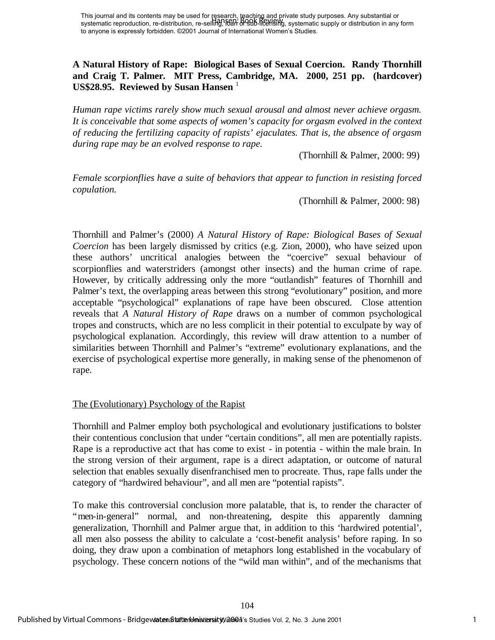This journal and its contents may be used for Research, Baching and private study purposes. Any substantial or<br>systematic reproduction, re-distribution, re-selling, i69h- 699b-166HSMg, systematic supply or distribution in to anyone is expressly forbidden. ©2001 Journal of International Women's Studies.

## **A Natural History of Rape: Biological Bases of Sexual Coercion. Randy Thornhill and Craig T. Palmer. MIT Press, Cambridge, MA. 2000, 251 pp. (hardcover) US\$28.95. Reviewed by Susan Hansen**<sup>1</sup>

*Human rape victims rarely show much sexual arousal and almost never achieve orgasm. It is conceivable that some aspects of women's capacity for orgasm evolved in the context of reducing the fertilizing capacity of rapists' ejaculates. That is, the absence of orgasm during rape may be an evolved response to rape.* 

(Thornhill & Palmer, 2000: 99)

*Female scorpionflies have a suite of behaviors that appear to function in resisting forced copulation.*

(Thornhill & Palmer, 2000: 98)

Thornhill and Palmer's (2000) *A Natural History of Rape: Biological Bases of Sexual Coercion* has been largely dismissed by critics (e.g. Zion, 2000), who have seized upon these authors' uncritical analogies between the "coercive" sexual behaviour of scorpionflies and waterstriders (amongst other insects) and the human crime of rape. However, by critically addressing only the more "outlandish" features of Thornhill and Palmer's text, the overlapping areas between this strong "evolutionary" position, and more acceptable "psychological" explanations of rape have been obscured. Close attention reveals that *A Natural History of Rape* draws on a number of common psychological tropes and constructs, which are no less complicit in their potential to exculpate by way of psychological explanation. Accordingly, this review will draw attention to a number of similarities between Thornhill and Palmer's "extreme" evolutionary explanations, and the exercise of psychological expertise more generally, in making sense of the phenomenon of rape. This portal or a constraint in the studies Vol. 2, No. 2, No. 2, No. 2, No. 2, No. 2, No. 2, No. 2, No. 2, No. 2, No. 2, No. 2, No. 2, No. 2, No. 2, No. 2, No. 2, No. 2, No. 2, No. 2, No. 2, No. 2, No. 2, No. 2, No. 2, No

### The (Evolutionary) Psychology of the Rapist

Thornhill and Palmer employ both psychological and evolutionary justifications to bolster their contentious conclusion that under "certain conditions", all men are potentially rapists. Rape is a reproductive act that has come to exist - in potentia - within the male brain. In the strong version of their argument, rape is a direct adaptation, or outcome of natural selection that enables sexually disenfranchised men to procreate. Thus, rape falls under the category of "hardwired behaviour", and all men are "potential rapists".

To make this controversial conclusion more palatable, that is, to render the character of "men-in-general" normal, and non-threatening, despite this apparently damning generalization, Thornhill and Palmer argue that, in addition to this 'hardwired potential', all men also possess the ability to calculate a 'cost-benefit analysis' before raping. In so doing, they draw upon a combination of metaphors long established in the vocabulary of psychology. These concern notions of the "wild man within", and of the mechanisms that

104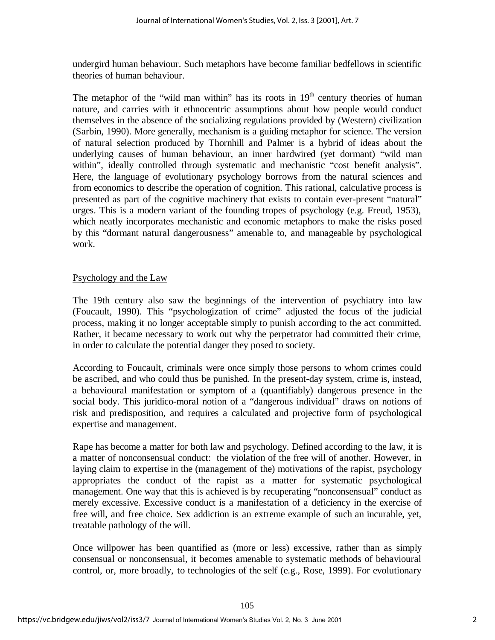undergird human behaviour. Such metaphors have become familiar bedfellows in scientific theories of human behaviour.

The metaphor of the "wild man within" has its roots in  $19<sup>th</sup>$  century theories of human nature, and carries with it ethnocentric assumptions about how people would conduct themselves in the absence of the socializing regulations provided by (Western) civilization (Sarbin, 1990). More generally, mechanism is a guiding metaphor for science. The version of natural selection produced by Thornhill and Palmer is a hybrid of ideas about the underlying causes of human behaviour, an inner hardwired (yet dormant) "wild man within", ideally controlled through systematic and mechanistic "cost benefit analysis". Here, the language of evolutionary psychology borrows from the natural sciences and from economics to describe the operation of cognition. This rational, calculative process is presented as part of the cognitive machinery that exists to contain ever-present "natural" urges. This is a modern variant of the founding tropes of psychology (e.g. Freud, 1953), which neatly incorporates mechanistic and economic metaphors to make the risks posed by this "dormant natural dangerousness" amenable to, and manageable by psychological work.

### Psychology and the Law

The 19th century also saw the beginnings of the intervention of psychiatry into law (Foucault, 1990). This "psychologization of crime" adjusted the focus of the judicial process, making it no longer acceptable simply to punish according to the act committed. Rather, it became necessary to work out why the perpetrator had committed their crime, in order to calculate the potential danger they posed to society.

According to Foucault, criminals were once simply those persons to whom crimes could be ascribed, and who could thus be punished. In the present-day system, crime is, instead, a behavioural manifestation or symptom of a (quantifiably) dangerous presence in the social body. This juridico-moral notion of a "dangerous individual" draws on notions of risk and predisposition, and requires a calculated and projective form of psychological expertise and management.

Rape has become a matter for both law and psychology. Defined according to the law, it is a matter of nonconsensual conduct: the violation of the free will of another. However, in laying claim to expertise in the (management of the) motivations of the rapist, psychology appropriates the conduct of the rapist as a matter for systematic psychological management. One way that this is achieved is by recuperating "nonconsensual" conduct as merely excessive. Excessive conduct is a manifestation of a deficiency in the exercise of free will, and free choice. Sex addiction is an extreme example of such an incurable, yet, treatable pathology of the will.

Once willpower has been quantified as (more or less) excessive, rather than as simply consensual or nonconsensual, it becomes amenable to systematic methods of behavioural control, or, more broadly, to technologies of the self (e.g., Rose, 1999). For evolutionary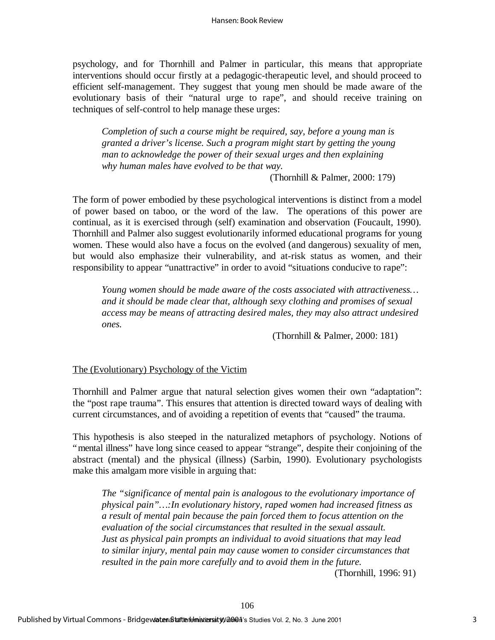psychology, and for Thornhill and Palmer in particular, this means that appropriate interventions should occur firstly at a pedagogic-therapeutic level, and should proceed to efficient self-management. They suggest that young men should be made aware of the evolutionary basis of their "natural urge to rape", and should receive training on techniques of self-control to help manage these urges:

*Completion of such a course might be required, say, before a young man is granted a driver's license. Such a program might start by getting the young man to acknowledge the power of their sexual urges and then explaining why human males have evolved to be that way.* 

(Thornhill & Palmer, 2000: 179)

The form of power embodied by these psychological interventions is distinct from a model of power based on taboo, or the word of the law. The operations of this power are continual, as it is exercised through (self) examination and observation (Foucault, 1990). Thornhill and Palmer also suggest evolutionarily informed educational programs for young women. These would also have a focus on the evolved (and dangerous) sexuality of men, but would also emphasize their vulnerability, and at-risk status as women, and their responsibility to appear "unattractive" in order to avoid "situations conducive to rape":

*Young women should be made aware of the costs associated with attractiveness… and it should be made clear that, although sexy clothing and promises of sexual access may be means of attracting desired males, they may also attract undesired ones.* 

(Thornhill & Palmer, 2000: 181)

### The (Evolutionary) Psychology of the Victim

Thornhill and Palmer argue that natural selection gives women their own "adaptation": the "post rape trauma". This ensures that attention is directed toward ways of dealing with current circumstances, and of avoiding a repetition of events that "caused" the trauma.

This hypothesis is also steeped in the naturalized metaphors of psychology. Notions of "mental illness" have long since ceased to appear "strange", despite their conjoining of the abstract (mental) and the physical (illness) (Sarbin, 1990). Evolutionary psychologists make this amalgam more visible in arguing that:

*The "significance of mental pain is analogous to the evolutionary importance of physical pain"… :In evolutionary history, raped women had increased fitness as a result of mental pain because the pain forced them to focus attention on the evaluation of the social circumstances that resulted in the sexual assault. Just as physical pain prompts an individual to avoid situations that may lead to similar injury, mental pain may cause women to consider circumstances that resulted in the pain more carefully and to avoid them in the future.*

(Thornhill, 1996: 91)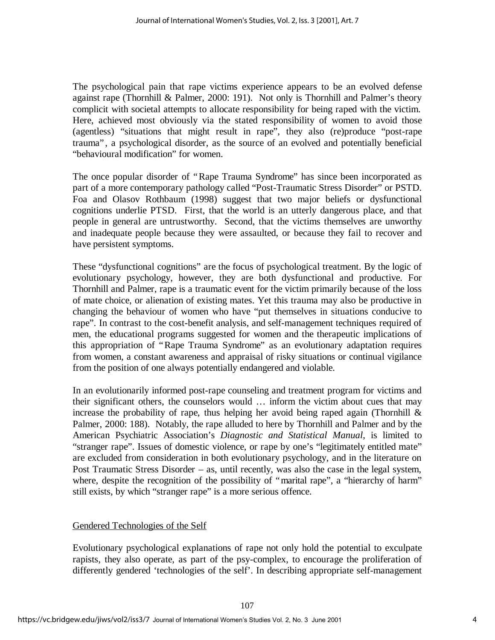The psychological pain that rape victims experience appears to be an evolved defense against rape (Thornhill & Palmer, 2000: 191). Not only is Thornhill and Palmer's theory complicit with societal attempts to allocate responsibility for being raped with the victim. Here, achieved most obviously via the stated responsibility of women to avoid those (agentless) "situations that might result in rape", they also (re)produce "post-rape trauma", a psychological disorder, as the source of an evolved and potentially beneficial "behavioural modification" for women.

The once popular disorder of "Rape Trauma Syndrome" has since been incorporated as part of a more contemporary pathology called "Post-Traumatic Stress Disorder" or PSTD. Foa and Olasov Rothbaum (1998) suggest that two major beliefs or dysfunctional cognitions underlie PTSD. First, that the world is an utterly dangerous place, and that people in general are untrustworthy. Second, that the victims themselves are unworthy and inadequate people because they were assaulted, or because they fail to recover and have persistent symptoms.

These "dysfunctional cognitions" are the focus of psychological treatment. By the logic of evolutionary psychology, however, they are both dysfunctional and productive. For Thornhill and Palmer, rape is a traumatic event for the victim primarily because of the loss of mate choice, or alienation of existing mates. Yet this trauma may also be productive in changing the behaviour of women who have "put themselves in situations conducive to rape". In contrast to the cost-benefit analysis, and self-management techniques required of men, the educational programs suggested for women and the therapeutic implications of this appropriation of "Rape Trauma Syndrome" as an evolutionary adaptation requires from women, a constant awareness and appraisal of risky situations or continual vigilance from the position of one always potentially endangered and violable.

In an evolutionarily informed post-rape counseling and treatment program for victims and their significant others, the counselors would … inform the victim about cues that may increase the probability of rape, thus helping her avoid being raped again (Thornhill  $\&$ Palmer, 2000: 188). Notably, the rape alluded to here by Thornhill and Palmer and by the American Psychiatric Association's *Diagnostic and Statistical Manual*, is limited to "stranger rape". Issues of domestic violence, or rape by one's "legitimately entitled mate" are excluded from consideration in both evolutionary psychology, and in the literature on Post Traumatic Stress Disorder – as, until recently, was also the case in the legal system, where, despite the recognition of the possibility of "marital rape", a "hierarchy of harm" still exists, by which "stranger rape" is a more serious offence.

### Gendered Technologies of the Self

Evolutionary psychological explanations of rape not only hold the potential to exculpate rapists, they also operate, as part of the psy-complex, to encourage the proliferation of differently gendered 'technologies of the self'. In describing appropriate self-management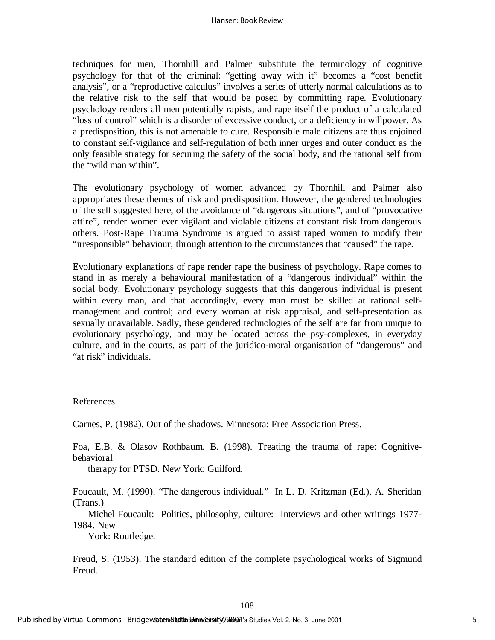techniques for men, Thornhill and Palmer substitute the terminology of cognitive psychology for that of the criminal: "getting away with it" becomes a "cost benefit analysis", or a "reproductive calculus" involves a series of utterly normal calculations as to the relative risk to the self that would be posed by committing rape. Evolutionary psychology renders all men potentially rapists, and rape itself the product of a calculated "loss of control" which is a disorder of excessive conduct, or a deficiency in willpower. As a predisposition, this is not amenable to cure. Responsible male citizens are thus enjoined to constant self-vigilance and self-regulation of both inner urges and outer conduct as the only feasible strategy for securing the safety of the social body, and the rational self from the "wild man within".

The evolutionary psychology of women advanced by Thornhill and Palmer also appropriates these themes of risk and predisposition. However, the gendered technologies of the self suggested here, of the avoidance of "dangerous situations", and of "provocative attire", render women ever vigilant and violable citizens at constant risk from dangerous others. Post-Rape Trauma Syndrome is argued to assist raped women to modify their "irresponsible" behaviour, through attention to the circumstances that "caused" the rape.

Evolutionary explanations of rape render rape the business of psychology. Rape comes to stand in as merely a behavioural manifestation of a "dangerous individual" within the social body. Evolutionary psychology suggests that this dangerous individual is present within every man, and that accordingly, every man must be skilled at rational selfmanagement and control; and every woman at risk appraisal, and self-presentation as sexually unavailable. Sadly, these gendered technologies of the self are far from unique to evolutionary psychology, and may be located across the psy-complexes, in everyday culture, and in the courts, as part of the juridico-moral organisation of "dangerous" and "at risk" individuals.

#### References

Carnes, P. (1982). Out of the shadows. Minnesota: Free Association Press.

Foa, E.B. & Olasov Rothbaum, B. (1998). Treating the trauma of rape: Cognitivebehavioral

therapy for PTSD. New York: Guilford.

Foucault, M. (1990). "The dangerous individual." In L. D. Kritzman (Ed.), A. Sheridan (Trans.)

 Michel Foucault: Politics, philosophy, culture: Interviews and other writings 1977- 1984. New

York: Routledge.

Freud, S. (1953). The standard edition of the complete psychological works of Sigmund Freud.